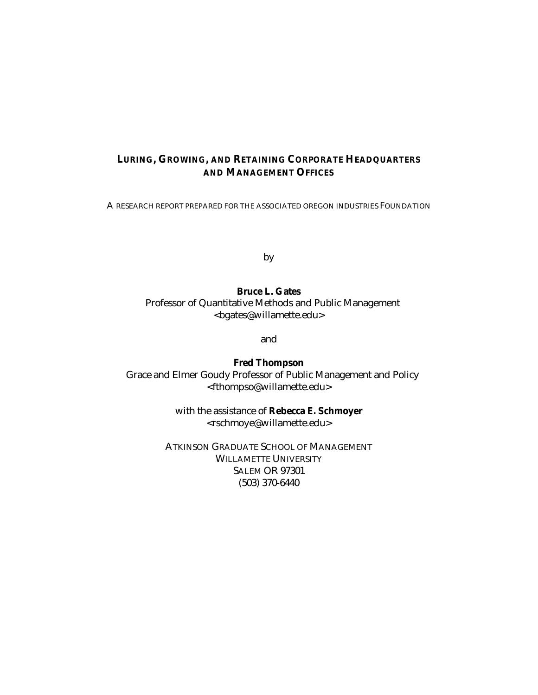#### **LURING, GROWING, AND RETAINING CORPORATE HEADQUARTERS AND MANAGEMENT OFFICES**

A RESEARCH REPORT PREPARED FOR THE ASSOCIATED OREGON INDUSTRIES FOUNDATION

by

**Bruce L. Gates** Professor of Quantitative Methods and Public Management <bgates@willamette.edu>

and

**Fred Thompson** Grace and Elmer Goudy Professor of Public Management and Policy <fthompso@willamette.edu>

> with the assistance of **Rebecca E. Schmoyer** <rschmoye@willamette.edu>

ATKINSON GRADUATE SCHOOL OF MANAGEMENT WILLAMETTE UNIVERSITY SALEM OR 97301 (503) 370-6440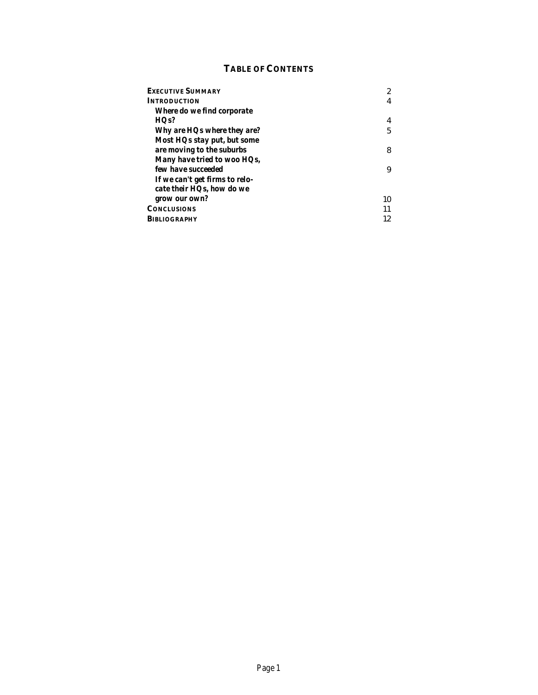# **TABLE OF CONTENTS**

| <b>EXECUTIVE SUMMARY</b>                                    | 2  |
|-------------------------------------------------------------|----|
| <b>INTRODUCTION</b>                                         | 4  |
| Where do we find corporate                                  |    |
| HQs?                                                        | 4  |
| Why are HQs where they are?                                 | 5  |
| Most HQs stay put, but some<br>are moving to the suburbs    | 8  |
| Many have tried to woo HQs,<br>few have succeeded           | 9  |
| If we can't get firms to relo-<br>cate their HQs, how do we |    |
| grow our own?                                               | 10 |
| <b>CONCLUSIONS</b>                                          | 11 |
| <b>BIBLIOGRAPHY</b>                                         | 12 |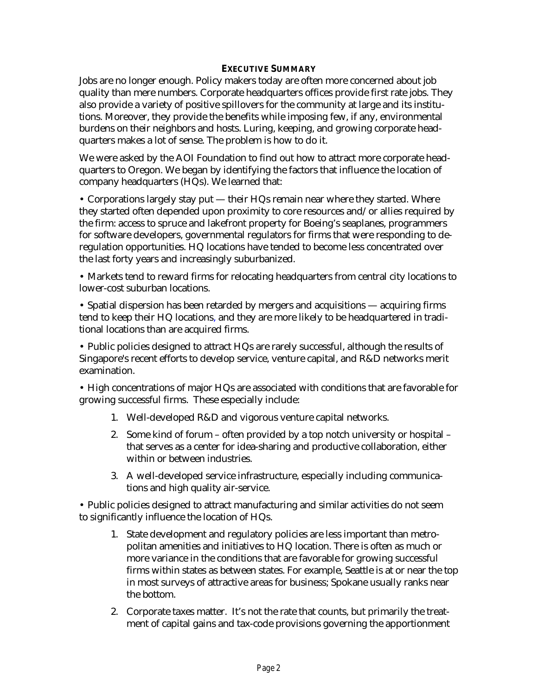#### **EXECUTIVE SUMMARY**

Jobs are no longer enough. Policy makers today are often more concerned about job quality than mere numbers. Corporate headquarters offices provide first rate jobs. They also provide a variety of positive spillovers for the community at large and its institutions. Moreover, they provide the benefits while imposing few, if any, environmental burdens on their neighbors and hosts. Luring, keeping, and growing corporate headquarters makes a lot of sense. The problem is how to do it.

We were asked by the AOI Foundation to find out how to attract more corporate headquarters to Oregon. We began by identifying the factors that influence the location of company headquarters (HQs). We learned that:

• Corporations largely stay put — their HQs remain near where they started. Where they started often depended upon proximity to core resources and/or allies required by the firm: access to spruce and lakefront property for Boeing's seaplanes, programmers for software developers, governmental regulators for firms that were responding to deregulation opportunities. HQ locations have tended to become less concentrated over the last forty years and increasingly suburbanized.

• Markets tend to reward firms for relocating headquarters from central city locations to lower-cost suburban locations.

• Spatial dispersion has been retarded by mergers and acquisitions — acquiring firms tend to keep their HQ locations, and they are more likely to be headquartered in traditional locations than are acquired firms.

• Public policies designed to attract HQs are rarely successful, although the results of Singapore's recent efforts to develop service, venture capital, and R&D networks merit examination.

• High concentrations of major HQs are associated with conditions that are favorable for growing successful firms. These especially include:

- 1. Well-developed R&D and vigorous venture capital networks.
- 2. Some kind of forum often provided by a top notch university or hospital that serves as a center for idea-sharing and productive collaboration, either within or between industries.
- 3. A well-developed service infrastructure, especially including communications and high quality air-service.

• Public policies designed to attract manufacturing and similar activities do not seem to significantly influence the location of HQs.

- 1. State development and regulatory policies are less important than metropolitan amenities and initiatives to HQ location. There is often as much or more variance in the conditions that are favorable for growing successful firms within states as between states. For example, Seattle is at or near the top in most surveys of attractive areas for business; Spokane usually ranks near the bottom.
- 2. Corporate taxes matter. It's not the rate that counts, but primarily the treatment of capital gains and tax-code provisions governing the apportionment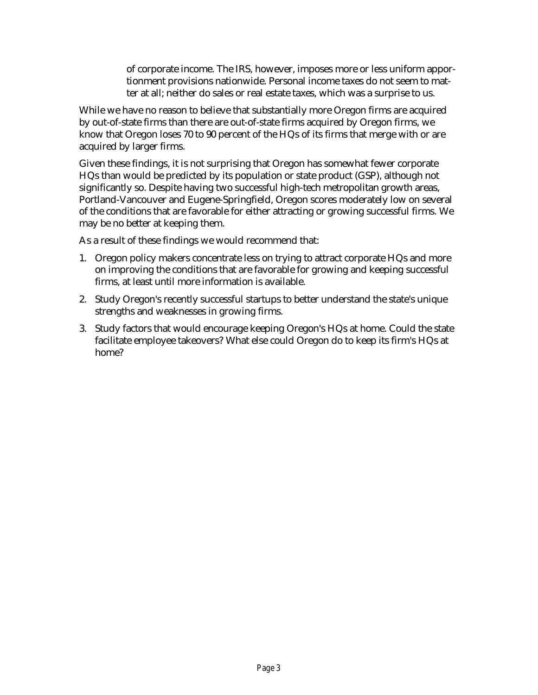of corporate income. The IRS, however, imposes more or less uniform apportionment provisions nationwide. Personal income taxes do not seem to matter at all; neither do sales or real estate taxes, which was a surprise to us.

While we have no reason to believe that substantially more Oregon firms are acquired by out-of-state firms than there are out-of-state firms acquired by Oregon firms, we know that Oregon loses 70 to 90 percent of the HQs of its firms that merge with or are acquired by larger firms.

Given these findings, it is not surprising that Oregon has somewhat fewer corporate HQs than would be predicted by its population or state product (GSP), although not significantly so. Despite having two successful high-tech metropolitan growth areas, Portland-Vancouver and Eugene-Springfield, Oregon scores moderately low on several of the conditions that are favorable for either attracting or growing successful firms. We may be no better at keeping them.

As a result of these findings we would recommend that:

- 1. Oregon policy makers concentrate less on trying to attract corporate HQs and more on improving the conditions that are favorable for growing and keeping successful firms, at least until more information is available.
- 2. Study Oregon's recently successful startups to better understand the state's unique strengths and weaknesses in growing firms.
- 3. Study factors that would encourage keeping Oregon's HQs at home. Could the state facilitate employee takeovers? What else could Oregon do to keep its firm's HQs at home?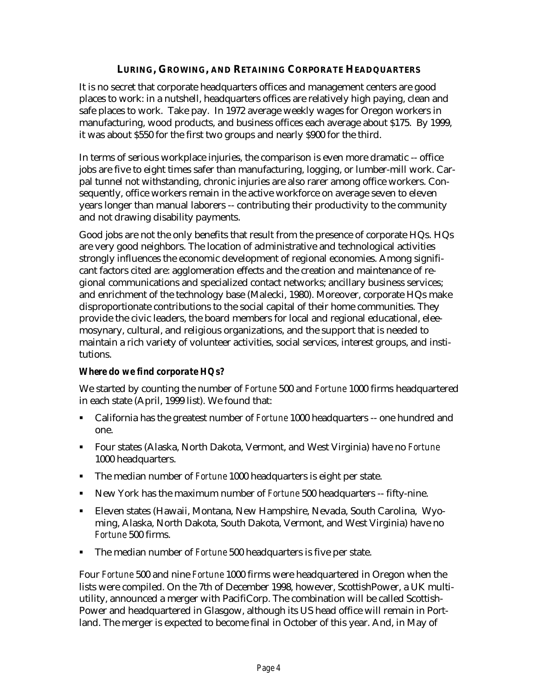# **LURING, GROWING, AND RETAINING CORPORATE HEADQUARTERS**

It is no secret that corporate headquarters offices and management centers are good places to work: in a nutshell, headquarters offices are relatively high paying, clean and safe places to work. Take pay. In 1972 average weekly wages for Oregon workers in manufacturing, wood products, and business offices each average about \$175. By 1999, it was about \$550 for the first two groups and nearly \$900 for the third.

In terms of serious workplace injuries, the comparison is even more dramatic -- office jobs are five to eight times safer than manufacturing, logging, or lumber-mill work. Carpal tunnel not withstanding, chronic injuries are also rarer among office workers. Consequently, office workers remain in the active workforce on average seven to eleven years longer than manual laborers -- contributing their productivity to the community and not drawing disability payments.

Good jobs are not the only benefits that result from the presence of corporate HQs. HQs are very good neighbors. The location of administrative and technological activities strongly influences the economic development of regional economies. Among significant factors cited are: agglomeration effects and the creation and maintenance of regional communications and specialized contact networks; ancillary business services; and enrichment of the technology base (Malecki, 1980). Moreover, corporate HQs make disproportionate contributions to the social capital of their home communities. They provide the civic leaders, the board members for local and regional educational, eleemosynary, cultural, and religious organizations, and the support that is needed to maintain a rich variety of volunteer activities, social services, interest groups, and institutions.

# *Where do we find corporate HQs?*

We started by counting the number of *Fortune* 500 and *Fortune* 1000 firms headquartered in each state (April, 1999 list). We found that:

- **EXECUTE:** California has the greatest number of *Fortune* 1000 headquarters -- one hundred and one.
- ß Four states (Alaska, North Dakota, Vermont, and West Virginia) have no *Fortune* 1000 headquarters.
- **The median number of** *Fortune* 1000 headquarters is eight per state.
- **EXECT** New York has the maximum number of *Fortune* 500 headquarters -- fifty-nine.
- **Eleven states (Hawaii, Montana, New Hampshire, Nevada, South Carolina, Wyo**ming, Alaska, North Dakota, South Dakota, Vermont, and West Virginia) have no *Fortune* 500 firms.
- **The median number of** *Fortune* 500 headquarters is five per state.

Four *Fortune* 500 and nine *Fortune* 1000 firms were headquartered in Oregon when the lists were compiled. On the 7th of December 1998, however, ScottishPower, a UK multiutility, announced a merger with PacifiCorp. The combination will be called Scottish-Power and headquartered in Glasgow, although its US head office will remain in Portland. The merger is expected to become final in October of this year. And, in May of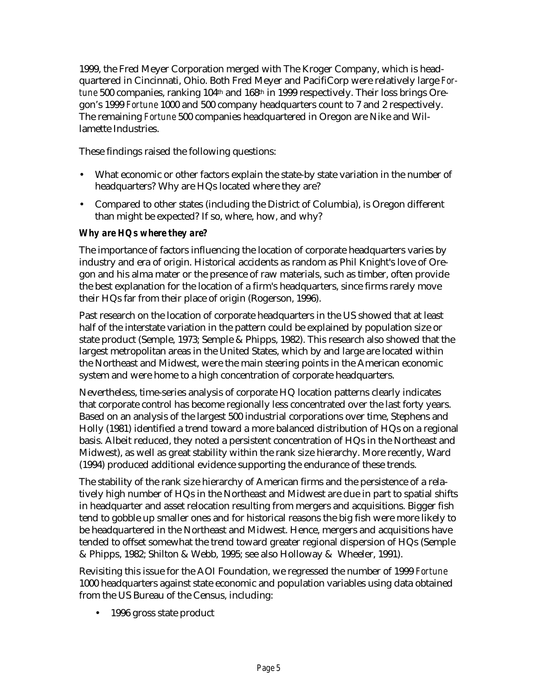1999, the Fred Meyer Corporation merged with The Kroger Company, which is headquartered in Cincinnati, Ohio. Both Fred Meyer and PacifiCorp were relatively large *Fortune* 500 companies, ranking 104th and 168th in 1999 respectively. Their loss brings Oregon's 1999 *Fortune* 1000 and 500 company headquarters count to 7 and 2 respectively. The remaining *Fortune* 500 companies headquartered in Oregon are Nike and Willamette Industries.

These findings raised the following questions:

- What economic or other factors explain the state-by state variation in the number of headquarters? Why are HQs located where they are?
- Compared to other states (including the District of Columbia), is Oregon different than might be expected? If so, where, how, and why?

## *Why are HQs where they are?*

The importance of factors influencing the location of corporate headquarters varies by industry and era of origin. Historical accidents as random as Phil Knight's love of Oregon and his alma mater or the presence of raw materials, such as timber, often provide the best explanation for the location of a firm's headquarters, since firms rarely move their HQs far from their place of origin (Rogerson, 1996).

Past research on the location of corporate headquarters in the US showed that at least half of the interstate variation in the pattern could be explained by population size or state product (Semple, 1973; Semple & Phipps, 1982). This research also showed that the largest metropolitan areas in the United States, which by and large are located within the Northeast and Midwest, were the main steering points in the American economic system and were home to a high concentration of corporate headquarters.

Nevertheless, time-series analysis of corporate HQ location patterns clearly indicates that corporate control has become regionally less concentrated over the last forty years. Based on an analysis of the largest 500 industrial corporations over time, Stephens and Holly (1981) identified a trend toward a more balanced distribution of HQs on a regional basis. Albeit reduced, they noted a persistent concentration of HQs in the Northeast and Midwest), as well as great stability within the rank size hierarchy. More recently, Ward (1994) produced additional evidence supporting the endurance of these trends.

The stability of the rank size hierarchy of American firms and the persistence of a relatively high number of HQs in the Northeast and Midwest are due in part to spatial shifts in headquarter and asset relocation resulting from mergers and acquisitions. Bigger fish tend to gobble up smaller ones and for historical reasons the big fish were more likely to be headquartered in the Northeast and Midwest. Hence, mergers and acquisitions have tended to offset somewhat the trend toward greater regional dispersion of HQs (Semple & Phipps, 1982; Shilton & Webb, 1995; see also Holloway & Wheeler, 1991).

Revisiting this issue for the AOI Foundation, we regressed the number of 1999 *Fortune* 1000 headquarters against state economic and population variables using data obtained from the US Bureau of the Census, including:

• 1996 gross state product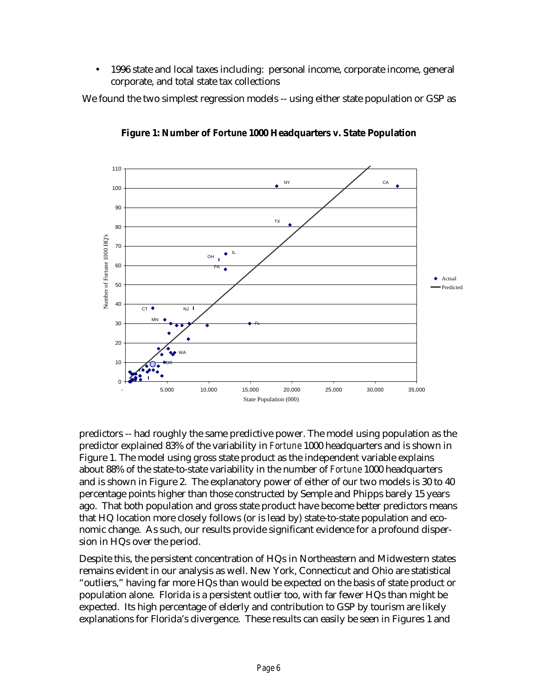• 1996 state and local taxes including: personal income, corporate income, general corporate, and total state tax collections

We found the two simplest regression models -- using either state population or GSP as



**Figure 1: Number of** *Fortune* **1000 Headquarters v. State Population**

predictors -- had roughly the same predictive power. The model using population as the predictor explained 83% of the variability in *Fortune* 1000 headquarters and is shown in Figure 1. The model using gross state product as the independent variable explains about 88% of the state-to-state variability in the number of *Fortune* 1000 headquarters and is shown in Figure 2. The explanatory power of either of our two models is 30 to 40 percentage points higher than those constructed by Semple and Phipps barely 15 years ago. That both population and gross state product have become better predictors means that HQ location more closely follows (or is lead by) state-to-state population and economic change. As such, our results provide significant evidence for a profound dispersion in HQs over the period.

Despite this, the persistent concentration of HQs in Northeastern and Midwestern states remains evident in our analysis as well. New York, Connecticut and Ohio are statistical "outliers," having far more HQs than would be expected on the basis of state product or population alone. Florida is a persistent outlier too, with far fewer HQs than might be expected. Its high percentage of elderly and contribution to GSP by tourism are likely explanations for Florida's divergence. These results can easily be seen in Figures 1 and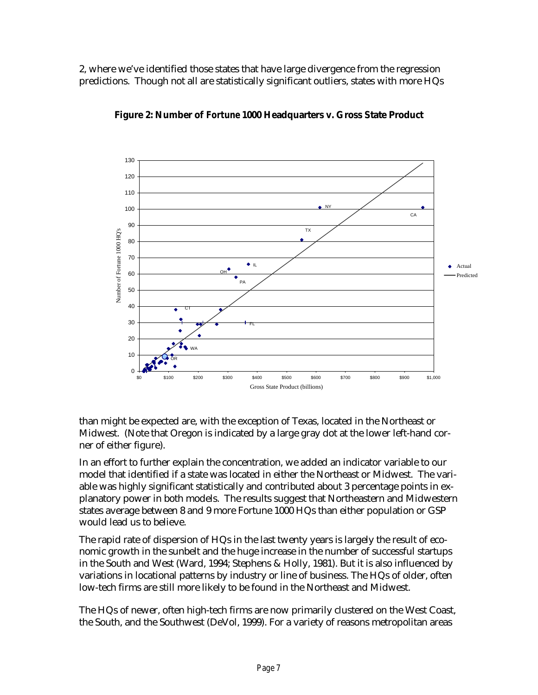2, where we've identified those states that have large divergence from the regression predictions. Though not all are statistically significant outliers, states with more HQs





than might be expected are, with the exception of Texas, located in the Northeast or Midwest. (Note that Oregon is indicated by a large gray dot at the lower left-hand corner of either figure).

In an effort to further explain the concentration, we added an indicator variable to our model that identified if a state was located in either the Northeast or Midwest. The variable was highly significant statistically and contributed about 3 percentage points in explanatory power in both models. The results suggest that Northeastern and Midwestern states average between 8 and 9 more Fortune 1000 HQs than either population or GSP would lead us to believe.

The rapid rate of dispersion of HQs in the last twenty years is largely the result of economic growth in the sunbelt and the huge increase in the number of successful startups in the South and West (Ward, 1994; Stephens & Holly, 1981). But it is also influenced by variations in locational patterns by industry or line of business. The HQs of older, often low-tech firms are still more likely to be found in the Northeast and Midwest.

The HQs of newer, often high-tech firms are now primarily clustered on the West Coast, the South, and the Southwest (DeVol, 1999). For a variety of reasons metropolitan areas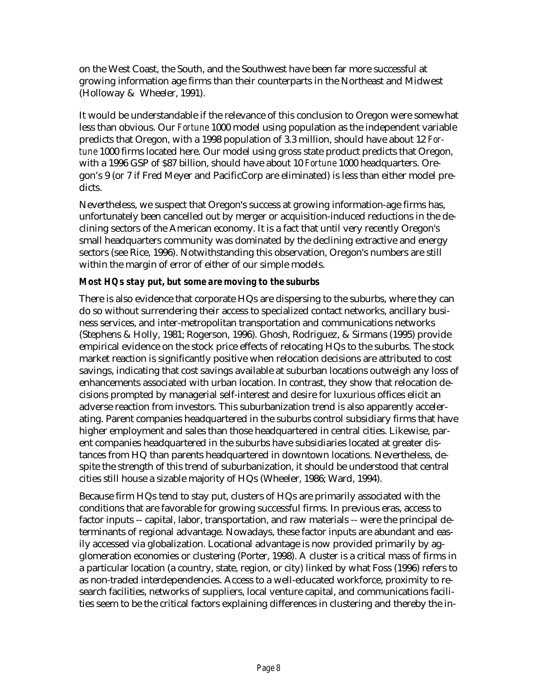on the West Coast, the South, and the Southwest have been far more successful at growing information age firms than their counterparts in the Northeast and Midwest (Holloway & Wheeler, 1991).

It would be understandable if the relevance of this conclusion to Oregon were somewhat less than obvious. Our *Fortune* 1000 model using population as the independent variable predicts that Oregon, with a 1998 population of 3.3 million, should have about 12 *Fortune* 1000 firms located here. Our model using gross state product predicts that Oregon, with a 1996 GSP of \$87 billion, should have about 10 *Fortune* 1000 headquarters. Oregon's 9 (or 7 if Fred Meyer and PacificCorp are eliminated) is less than either model predicts.

Nevertheless, we suspect that Oregon's success at growing information-age firms has, unfortunately been cancelled out by merger or acquisition-induced reductions in the declining sectors of the American economy. It is a fact that until very recently Oregon's small headquarters community was dominated by the declining extractive and energy sectors (see Rice, 1996). Notwithstanding this observation, Oregon's numbers are still within the margin of error of either of our simple models.

## *Most HQs stay put, but some are moving to the suburbs*

There is also evidence that corporate HQs are dispersing to the suburbs, where they can do so without surrendering their access to specialized contact networks, ancillary business services, and inter-metropolitan transportation and communications networks (Stephens & Holly, 1981; Rogerson, 1996). Ghosh, Rodriguez, & Sirmans (1995) provide empirical evidence on the stock price effects of relocating HQs to the suburbs. The stock market reaction is significantly positive when relocation decisions are attributed to cost savings, indicating that cost savings available at suburban locations outweigh any loss of enhancements associated with urban location. In contrast, they show that relocation decisions prompted by managerial self-interest and desire for luxurious offices elicit an adverse reaction from investors. This suburbanization trend is also apparently accelerating. Parent companies headquartered in the suburbs control subsidiary firms that have higher employment and sales than those headquartered in central cities. Likewise, parent companies headquartered in the suburbs have subsidiaries located at greater distances from HQ than parents headquartered in downtown locations. Nevertheless, despite the strength of this trend of suburbanization, it should be understood that central cities still house a sizable majority of HQs (Wheeler, 1986; Ward, 1994).

Because firm HQs tend to stay put, clusters of HQs are primarily associated with the conditions that are favorable for growing successful firms. In previous eras, access to factor inputs -- capital, labor, transportation, and raw materials -- were the principal determinants of regional advantage. Nowadays, these factor inputs are abundant and easily accessed via globalization. Locational advantage is now provided primarily by agglomeration economies or clustering (Porter, 1998). A cluster is a critical mass of firms in a particular location (a country, state, region, or city) linked by what Foss (1996) refers to as non-traded interdependencies. Access to a well-educated workforce, proximity to research facilities, networks of suppliers, local venture capital, and communications facilities seem to be the critical factors explaining differences in clustering and thereby the in-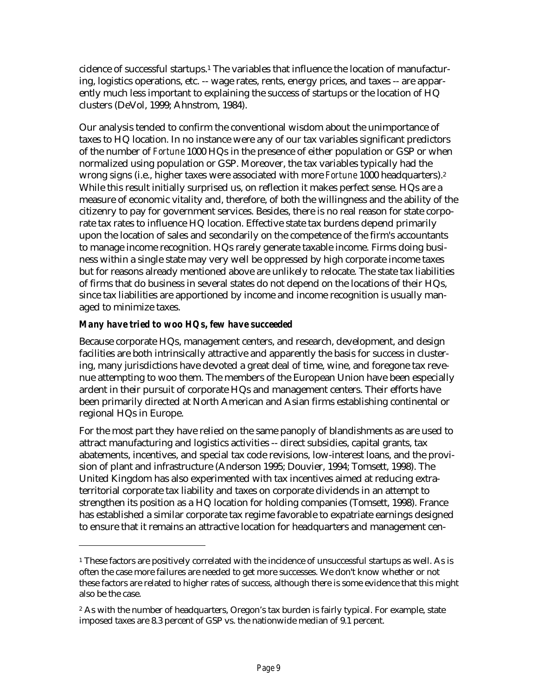cidence of successful startups.1 The variables that influence the location of manufacturing, logistics operations, etc. -- wage rates, rents, energy prices, and taxes -- are apparently much less important to explaining the success of startups or the location of HQ clusters (DeVol, 1999; Ahnstrom, 1984).

Our analysis tended to confirm the conventional wisdom about the unimportance of taxes to HQ location. In no instance were any of our tax variables significant predictors of the number of *Fortune* 1000 HQs in the presence of either population or GSP or when normalized using population or GSP. Moreover, the tax variables typically had the wrong signs (i.e., higher taxes were associated with more *Fortune* 1000 headquarters).<sup>2</sup> While this result initially surprised us, on reflection it makes perfect sense. HQs are a measure of economic vitality and, therefore, of both the willingness and the ability of the citizenry to pay for government services. Besides, there is no real reason for state corporate tax rates to influence HQ location. Effective state tax burdens depend primarily upon the location of sales and secondarily on the competence of the firm's accountants to manage income recognition. HQs rarely generate taxable income. Firms doing business within a single state may very well be oppressed by high corporate income taxes but for reasons already mentioned above are unlikely to relocate. The state tax liabilities of firms that do business in several states do not depend on the locations of their HQs, since tax liabilities are apportioned by income and income recognition is usually managed to minimize taxes.

## *Many have tried to woo HQs, few have succeeded*

 $\overline{a}$ 

Because corporate HQs, management centers, and research, development, and design facilities are both intrinsically attractive and apparently the basis for success in clustering, many jurisdictions have devoted a great deal of time, wine, and foregone tax revenue attempting to woo them. The members of the European Union have been especially ardent in their pursuit of corporate HQs and management centers. Their efforts have been primarily directed at North American and Asian firms establishing continental or regional HQs in Europe.

For the most part they have relied on the same panoply of blandishments as are used to attract manufacturing and logistics activities -- direct subsidies, capital grants, tax abatements, incentives, and special tax code revisions, low-interest loans, and the provision of plant and infrastructure (Anderson 1995; Douvier, 1994; Tomsett, 1998). The United Kingdom has also experimented with tax incentives aimed at reducing extraterritorial corporate tax liability and taxes on corporate dividends in an attempt to strengthen its position as a HQ location for holding companies (Tomsett, 1998). France has established a similar corporate tax regime favorable to expatriate earnings designed to ensure that it remains an attractive location for headquarters and management cen-

<sup>&</sup>lt;sup>1</sup> These factors are positively correlated with the incidence of unsuccessful startups as well. As is often the case more failures are needed to get more successes. We don't know whether or not these factors are related to higher rates of success, although there is some evidence that this might also be the case.

<sup>&</sup>lt;sup>2</sup> As with the number of headquarters, Oregon's tax burden is fairly typical. For example, state imposed taxes are 8.3 percent of GSP vs. the nationwide median of 9.1 percent.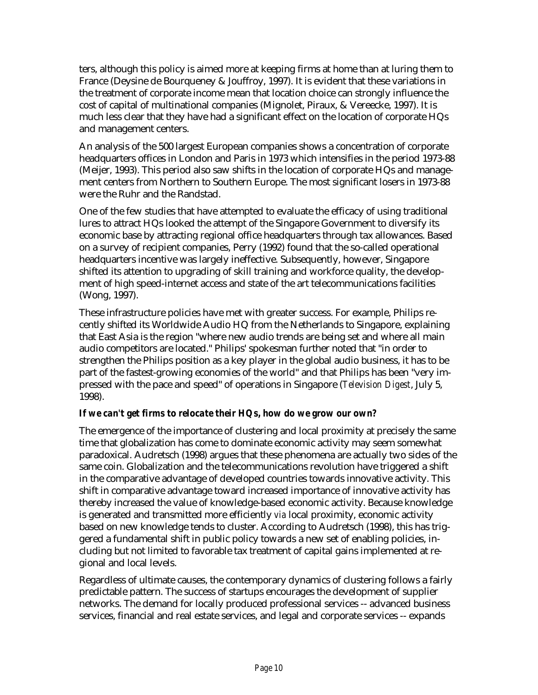ters, although this policy is aimed more at keeping firms at home than at luring them to France (Deysine de Bourqueney & Jouffroy, 1997). It is evident that these variations in the treatment of corporate income mean that location choice can strongly influence the cost of capital of multinational companies (Mignolet, Piraux, & Vereecke, 1997). It is much less clear that they have had a significant effect on the location of corporate HQs and management centers.

An analysis of the 500 largest European companies shows a concentration of corporate headquarters offices in London and Paris in 1973 which intensifies in the period 1973-88 (Meijer, 1993). This period also saw shifts in the location of corporate HQs and management centers from Northern to Southern Europe. The most significant losers in 1973-88 were the Ruhr and the Randstad.

One of the few studies that have attempted to evaluate the efficacy of using traditional lures to attract HQs looked the attempt of the Singapore Government to diversify its economic base by attracting regional office headquarters through tax allowances. Based on a survey of recipient companies, Perry (1992) found that the so-called operational headquarters incentive was largely ineffective. Subsequently, however, Singapore shifted its attention to upgrading of skill training and workforce quality, the development of high speed-internet access and state of the art telecommunications facilities (Wong, 1997).

These infrastructure policies have met with greater success. For example, Philips recently shifted its Worldwide Audio HQ from the Netherlands to Singapore, explaining that East Asia is the region "where new audio trends are being set and where all main audio competitors are located." Philips' spokesman further noted that "in order to strengthen the Philips position as a key player in the global audio business, it has to be part of the fastest-growing economies of the world" and that Philips has been "very impressed with the pace and speed" of operations in Singapore (*Television Digest*, July 5, 1998).

# *If we can't get firms to relocate their HQs, how do we grow our own?*

The emergence of the importance of clustering and local proximity at precisely the same time that globalization has come to dominate economic activity may seem somewhat paradoxical. Audretsch (1998) argues that these phenomena are actually two sides of the same coin. Globalization and the telecommunications revolution have triggered a shift in the comparative advantage of developed countries towards innovative activity. This shift in comparative advantage toward increased importance of innovative activity has thereby increased the value of knowledge-based economic activity. Because knowledge is generated and transmitted more efficiently *via* local proximity, economic activity based on new knowledge tends to cluster. According to Audretsch (1998), this has triggered a fundamental shift in public policy towards a new set of enabling policies, including but not limited to favorable tax treatment of capital gains implemented at regional and local levels.

Regardless of ultimate causes, the contemporary dynamics of clustering follows a fairly predictable pattern. The success of startups encourages the development of supplier networks. The demand for locally produced professional services -- advanced business services, financial and real estate services, and legal and corporate services -- expands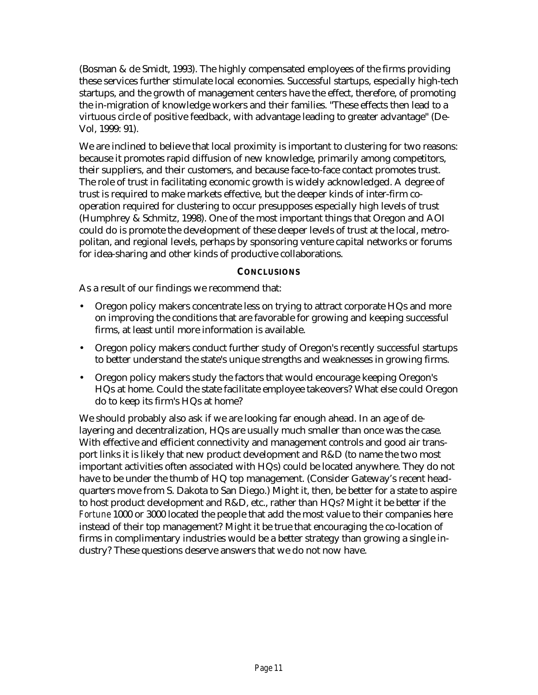(Bosman & de Smidt, 1993). The highly compensated employees of the firms providing these services further stimulate local economies. Successful startups, especially high-tech startups, and the growth of management centers have the effect, therefore, of promoting the in-migration of knowledge workers and their families. "These effects then lead to a virtuous circle of positive feedback, with advantage leading to greater advantage" (De-Vol, 1999: 91).

We are inclined to believe that local proximity is important to clustering for two reasons: because it promotes rapid diffusion of new knowledge, primarily among competitors, their suppliers, and their customers, and because face-to-face contact promotes trust. The role of trust in facilitating economic growth is widely acknowledged. A degree of trust is required to make markets effective, but the deeper kinds of inter-firm cooperation required for clustering to occur presupposes especially high levels of trust (Humphrey & Schmitz, 1998). One of the most important things that Oregon and AOI could do is promote the development of these deeper levels of trust at the local, metropolitan, and regional levels, perhaps by sponsoring venture capital networks or forums for idea-sharing and other kinds of productive collaborations.

#### **CONCLUSIONS**

As a result of our findings we recommend that:

- Oregon policy makers concentrate less on trying to attract corporate HQs and more on improving the conditions that are favorable for growing and keeping successful firms, at least until more information is available.
- Oregon policy makers conduct further study of Oregon's recently successful startups to better understand the state's unique strengths and weaknesses in growing firms.
- Oregon policy makers study the factors that would encourage keeping Oregon's HQs at home. Could the state facilitate employee takeovers? What else could Oregon do to keep its firm's HQs at home?

We should probably also ask if we are looking far enough ahead. In an age of delayering and decentralization, HQs are usually much smaller than once was the case. With effective and efficient connectivity and management controls and good air transport links it is likely that new product development and R&D (to name the two most important activities often associated with HQs) could be located anywhere. They do not have to be under the thumb of HQ top management. (Consider Gateway's recent headquarters move from S. Dakota to San Diego.) Might it, then, be better for a state to aspire to host product development and R&D, etc., rather than HQs? Might it be better if the *Fortune* 1000 or 3000 located the people that add the most value to their companies here instead of their top management? Might it be true that encouraging the co-location of firms in complimentary industries would be a better strategy than growing a single industry? These questions deserve answers that we do not now have.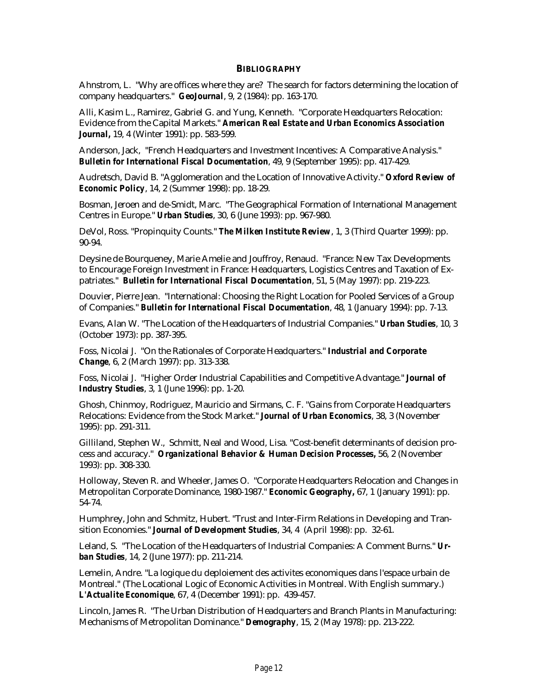#### **BIBLIOGRAPHY**

Ahnstrom, L. "Why are offices where they are? The search for factors determining the location of company headquarters." *GeoJournal*, 9, 2 (1984): pp. 163-170.

Alli, Kasim L., Ramirez, Gabriel G. and Yung, Kenneth. "Corporate Headquarters Relocation: Evidence from the Capital Markets." *American Real Estate and Urban Economics Association Journal,* 19, 4 (Winter 1991): pp. 583-599.

Anderson, Jack, "French Headquarters and Investment Incentives: A Comparative Analysis." *Bulletin for International Fiscal Documentation*, 49, 9 (September 1995): pp. 417-429.

Audretsch, David B. "Agglomeration and the Location of Innovative Activity." *Oxford Review of Economic Policy*, 14, 2 (Summer 1998): pp. 18-29.

Bosman, Jeroen and de-Smidt, Marc. "The Geographical Formation of International Management Centres in Europe." *Urban Studies*, 30, 6 (June 1993): pp. 967-980.

DeVol, Ross. "Propinquity Counts." *The Milken Institute Review*, 1, 3 (Third Quarter 1999): pp. 90-94.

Deysine de Bourqueney, Marie Amelie and Jouffroy, Renaud. "France: New Tax Developments to Encourage Foreign Investment in France: Headquarters, Logistics Centres and Taxation of Expatriates." *Bulletin for International Fiscal Documentation*, 51, 5 (May 1997): pp. 219-223.

Douvier, Pierre Jean. "International: Choosing the Right Location for Pooled Services of a Group of Companies." *Bulletin for International Fiscal Documentation*, 48, 1 (January 1994): pp. 7-13.

Evans, Alan W. "The Location of the Headquarters of Industrial Companies." *Urban Studies*, 10, 3 (October 1973): pp. 387-395.

Foss, Nicolai J. "On the Rationales of Corporate Headquarters." *Industrial and Corporate Change*, 6, 2 (March 1997): pp. 313-338.

Foss, Nicolai J. "Higher Order Industrial Capabilities and Competitive Advantage." *Journal of Industry Studies*, 3, 1 (June 1996): pp. 1-20.

Ghosh, Chinmoy, Rodriguez, Mauricio and Sirmans, C. F. "Gains from Corporate Headquarters Relocations: Evidence from the Stock Market." *Journal of Urban Economics*, 38, 3 (November 1995): pp. 291-311.

Gilliland, Stephen W., Schmitt, Neal and Wood, Lisa. "Cost-benefit determinants of decision process and accuracy." *Organizational Behavior & Human Decision Processes,* 56, 2 (November 1993): pp. 308-330.

Holloway, Steven R. and Wheeler, James O. "Corporate Headquarters Relocation and Changes in Metropolitan Corporate Dominance, 1980-1987." *Economic Geography,* 67, 1 (January 1991): pp. 54-74.

Humphrey, John and Schmitz, Hubert. "Trust and Inter-Firm Relations in Developing and Transition Economies." *Journal of Development Studies*, 34, 4 (April 1998): pp. 32-61.

Leland, S. "The Location of the Headquarters of Industrial Companies: A Comment Burns." *Urban Studies*, 14, 2 (June 1977): pp. 211-214.

Lemelin, Andre. "La logique du deploiement des activites economiques dans l'espace urbain de Montreal." (The Locational Logic of Economic Activities in Montreal. With English summary.) *L'Actualite Economique*, 67, 4 (December 1991): pp. 439-457.

Lincoln, James R. "The Urban Distribution of Headquarters and Branch Plants in Manufacturing: Mechanisms of Metropolitan Dominance." *Demography*, 15, 2 (May 1978): pp. 213-222.